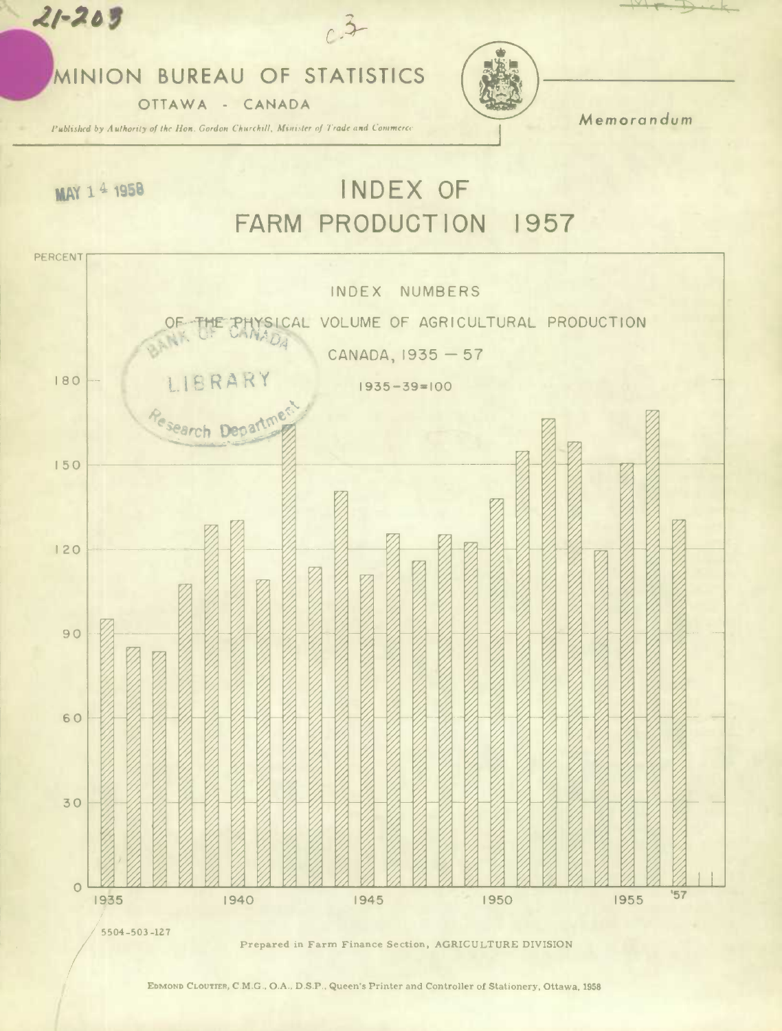## MINION BUREAU OF STATISTICS

OTTAWA - CANADA

Published by Authority of the Hon. Gordon Churchill, Minister of Trade and Commerce

Memorandum

MAY 14 1958

 $21 - 209$ 

## INDEX OF FARM PRODUCTION 1957



EDMOND CLOUTIER, C.M.G., O.A., D.S.P., Queen's Printer and Controller of Stationery, Ottawa, 1958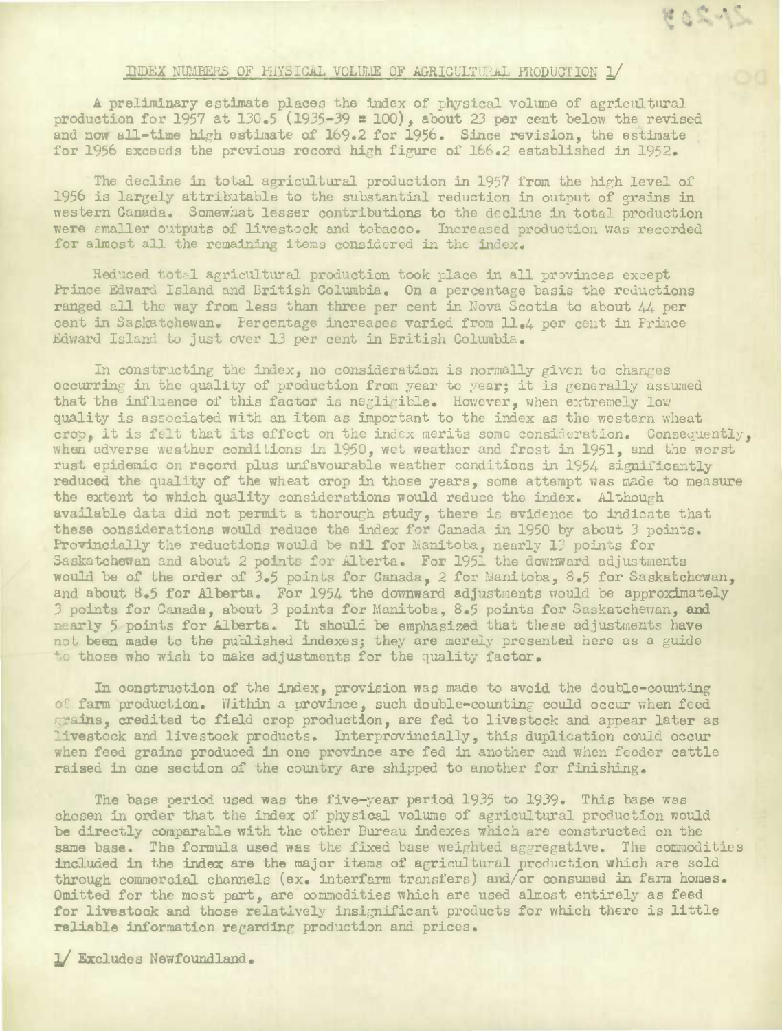## INDEX NUMBERS OF FHYSICAL VOLUME OF AGRICULTURAL PRODUCTION 1/

EOS IS

A preliminary estimate places the index of physical volume of agricultural production for 1957 at *130.5 (1935-39 a* 100), about 23 per cent below the revised and now all-time high estimate of 169.2 for *1956.* Since revision, the estimate for 1956 exceeds the previous record high figure of 166.2 established in 1952.

The decline in total agricultural production in 1957 from the high level of 1956 is largely attributable to the substantial reduction in output of grains in western Canada. Somewhat lesser contributions to the decline in total production were smaller outputs of livestock and tobacco. Increased production was recorded for almost all the remaining items considered in the index.

Reduced total agricultural production took place in all provinces except Prince Edward Island and British Columbia. On a percentage basis the reductions ranged all the way from less than three per cent in Nova Scotia to about  $44$  per cent in Saskatchewan. Percentage increases varied from 11.4 per cent in Prince dward Island to just over 13 per cent in British Columbia.

In constructing the index, no consideration is normally given to changes occurring in the quality of production from year to year; it is generally assumed that the influence of this factor is negligible. However, when extremely low quality is associated with an item as important to the index as the western wheat crop, it is felt that its effect on the index merits some consideration. Consequently, when adverse weather conditions in 1950, wet weather and frost in 1951, and the worst rust epidemic on record plus unfavourable weather conditions in 1954 significantly reduced the quality of the wheat crop in those years, some attempt was made to measure the extent to which quality considerations would reduce the index. Although available data did not permit a *thorough* study, there is evidence to indicate that these considerations would reduce the index for Canada in 1950 by about 3 points. Provincially the reductions would be nil for Manitoba, nearly 13 points for Saskatchewan and about 2 points for Alberta. For 1951 the downward adjustments would be of the order of *3.5* points for Canada, 2 for Manitoba, 8.5 for Saskatchewan, and about 8.5 for Alberta. For 1954 the downward adjustments would be approximately 3 points for Canada, about 3 points for Manitoba, 8.5 points for Saskatchewan, and nearly 5 points for Alberta. It should be emphasized that these adjustments have not been made to the published indexes; they are merely presented here as a guide to those who wish to make adjustments for the quality factor.

In construction of the index, provision was made to avoid the double-counting of farm production. Within a province, such double-counting could occur when feed grains, credited to field crop production, are fed to livestock and appear later as livestock and livestock products. Interprovincially, this duplication could occur when feed grains produced in one province are fed in another and when feeder cattle raised in one section of the country are shipped to another for finishing.

The base period used was the five-year period 1935 to 1939. This base was chosen in order that the index of physical volume of agricultural production would be directly comparable with the other Bureau indexes which are constructed on the same base. The formula used was the fixed base weighted aggregative. The commodities included in the **index are** the major items of agriculturalproduction which are sold through commercial channels (ex. interfarm transfers) and/or consumed in farm homes. Omitted for the most part, are commodities which are used almost entirely as feed for livestock and those relatively insignificant products for which there is little **reliable** information regarding production and prices.

/ **Excludes** Newfoundland.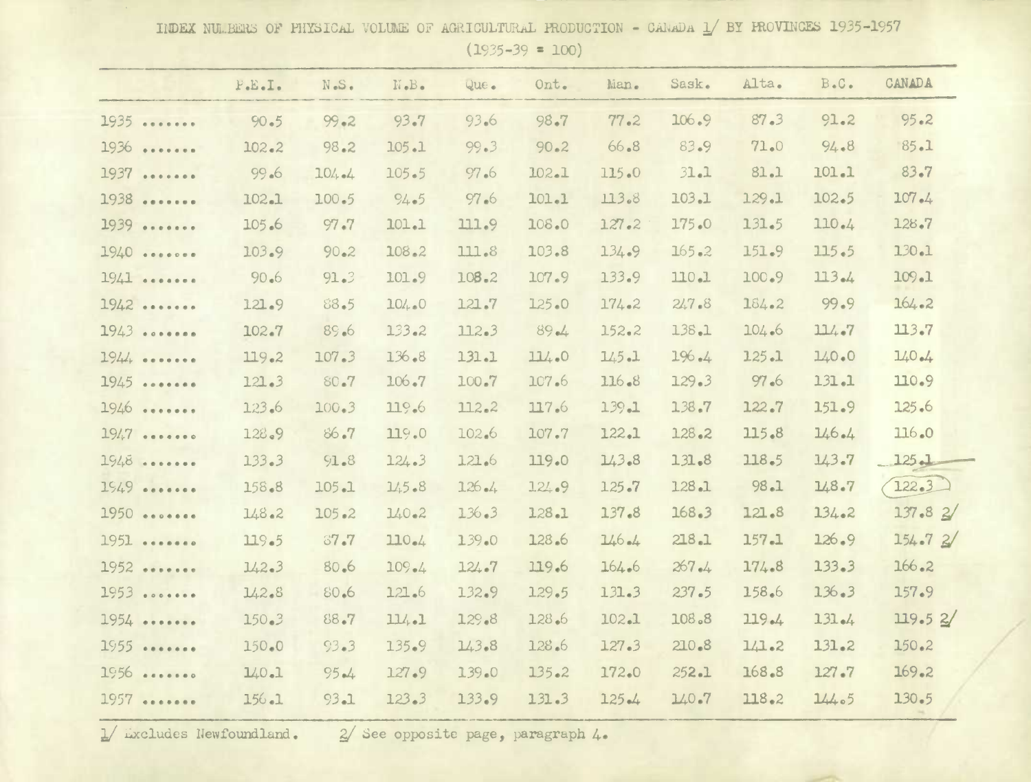IIDEX NULBERS OF PHYSICAL VOLUME OF AGRICULTURAL PRODUCTION - CANADA  $\frac{1}{2}$  BY PROVINCES 1935-1957

 $(1935-39 = 100)$ 

|           | F.E.I.    | N.S.      | $\mathbb{N} \bullet \mathbb{B} \bullet$ | Que.  | Ont.      | Man.      | Sask.     | Alta. | $B \cdot C \cdot$ | CANADA     |
|-----------|-----------|-----------|-----------------------------------------|-------|-----------|-----------|-----------|-------|-------------------|------------|
| 1935      | 90.5      | $99 - 2$  | 93.7                                    | 93.6  | 98.7      | 77.2      | 106.9     | 87.3  | 91.2              | $95 - 2$   |
| 1936<br>  | $102 - 2$ | 98.2      | 105.1                                   | 99.3  | 90.2      | $66 - 8$  | 83.9      | 71.0  | 94.8              | 85.1       |
| 1937<br>  | 99.6      | $104 - 4$ | 105.5                                   | 97.6  | 102.1     | 115.0     | 31.1      | 81.1  | 101.1             | 83.7       |
| 1938<br>  | 102.1     | 100.5     | 94.5                                    | 97.6  | 101.1     | 113.8     | 103.1     | 129.1 | 102.5             | $107 - 4$  |
| 1939      | 105.6     | 97.7      | 101.1                                   | 111.9 | 108.0     | $127 - 2$ | 175.0     | 131.5 | 110.4             | 128.7      |
| 1940      | 103.9     | $90 - 2$  | 108.2                                   | 111.8 | 103.8     | 134.9     | $165 - 2$ | 151.9 | 115.5             | 130.1      |
| $1941$    | 90.6      | 91.3      | 101.9                                   | 108.2 | 107.9     | 133.9     | 110.1     | 100.9 | 113.4             | 109.1      |
| 1942      | 121.9     | 88.5      | 104.0                                   | 121.7 | 125.0     | 174.2     | 247.8     | 184.2 | 99.9              | 164.2      |
| 1943      | 102.7     | 89.6      | 133.2                                   | 112.3 | $89 - 4$  | 152.2     | 138.1     | 104.6 | 114.7             | 113.7      |
| $1944$ $$ | 119.2     | 107.3     | 136.8                                   | 131.1 | 114.0     | $145 - 1$ | $196 - 4$ | 125.1 | 140.0             | $140 - 4$  |
| 1945<br>  | 121.3     | 80.7      | $106 - 7$                               | 100.7 | 107.6     | $116 - 8$ | 129.3     | 97.6  | $131 - 1$         | 110.9      |
| 1946      | 123.6     | 100.3     | 119.6                                   | 112.2 | 117.6     | $139 - 1$ | 138.7     | 122.7 | 151.9             | 125.6      |
| 1947      | 128.9     | 86.7      | 119.0                                   | 102.6 | 107.7     | 122.1     | $128 - 2$ | 115.8 | 146.4             | 116.0      |
| 1948      | 133.3     | $91 - 8$  | 124.3                                   | 121.6 | 119.0     | 143.8     | $131 - 8$ | 118.5 | 143.7             | $-125 - 1$ |
| $1549$    | 158.8     | 105.1     | 145.8                                   | 126.4 | 124.9     | 125.7     | 128.1     | 98.1  | 148.7             | 122.3      |
| 1950      | 148.2     | 105.2     | $140 - 2$                               | 136.3 | 128.1     | 137.8     | 168.3     | 121.8 | 134.2             | 137.82/    |
| 1951      | 119.5     | 37.7      | 110.4                                   | 139.0 | 128.6     | 146.4     | 218.1     | 157.1 | 126.9             | 154.72/    |
| $1952$    | 142.3     | 80.6      | $109 - 4$                               | 124.7 | 119.6     | 164.6     | $267 - 4$ | 174.8 | 133.3             | $166 - 2$  |
| 1953      | 142.8     | 80.6      | 121.6                                   | 132.9 | 129.5     | 131.3     | 237.5     | 158.6 | 136.3             | 157.9      |
| $1954$    | $150 - 3$ | 88.7      | 11/1                                    | 129.8 | 128.6     | 102.1     | 108.8     | 119.4 | $131 - 4$         | 119.52/    |
| 1955      | 150.0     | 93.3      | 135.9                                   | 143.8 | 128.6     | 127.3     | $210 - 8$ | 1/1.2 | $131 - 2$         | 150.2      |
| 1956      | 140.1     | $95 - 4$  | 127.9                                   | 139.0 | $135 - 2$ | 172.0     | 252.1     | 168.8 | 127.7             | 169.2      |
| 1957      | $156 - 1$ | 93.1      | 123.3                                   | 133.9 | 131.3     | $125 - 4$ | 140.7     | 118.2 | 14405             | 130.5      |
|           |           |           |                                         |       |           |           |           |       |                   |            |

1/ *ixcludes Newfoundland.* 2/ See opposite page, paragraph 4.